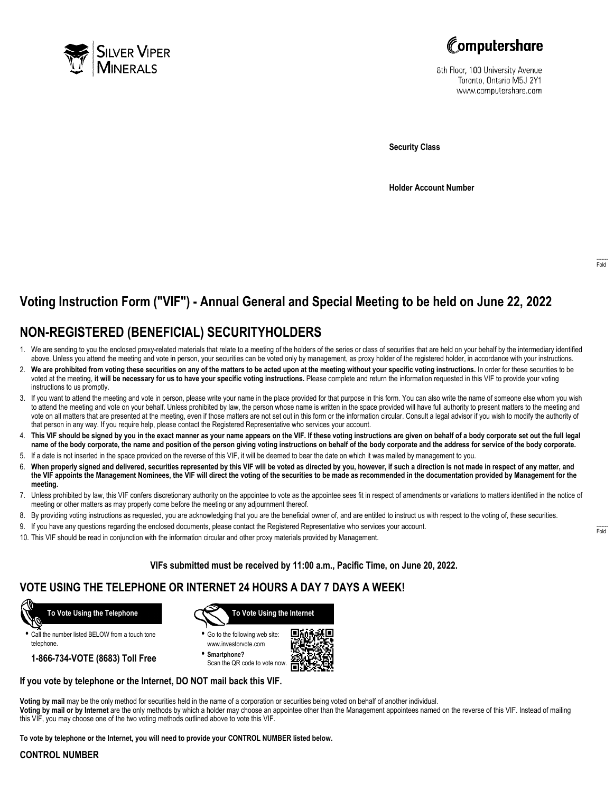



8th Floor, 100 University Avenue Toronto, Ontario M5J 2Y1 www.computershare.com

**Security Class**

**Holder Account Number**

# **Voting Instruction Form ("VIF") - Annual General and Special Meeting to be held on June 22, 2022**

## **NON-REGISTERED (BENEFICIAL) SECURITYHOLDERS**

- 1. We are sending to you the enclosed proxy-related materials that relate to a meeting of the holders of the series or class of securities that are held on your behalf by the intermediary identified above. Unless you attend the meeting and vote in person, your securities can be voted only by management, as proxy holder of the registered holder, in accordance with your instructions.
- 2. **We are prohibited from voting these securities on any of the matters to be acted upon at the meeting without your specific voting instructions.** In order for these securities to be voted at the meeting, **it will be necessary for us to have your specific voting instructions.** Please complete and return the information requested in this VIF to provide your voting instructions to us promptly.
- 3. If you want to attend the meeting and vote in person, please write your name in the place provided for that purpose in this form. You can also write the name of someone else whom you wish to attend the meeting and vote on your behalf. Unless prohibited by law, the person whose name is written in the space provided will have full authority to present matters to the meeting and vote on all matters that are presented at the meeting, even if those matters are not set out in this form or the information circular. Consult a legal advisor if you wish to modify the authority of that person in any way. If you require help, please contact the Registered Representative who services your account.
- 4. **This VIF should be signed by you in the exact manner as your name appears on the VIF. If these voting instructions are given on behalf of a body corporate set out the full legal name of the body corporate, the name and position of the person giving voting instructions on behalf of the body corporate and the address for service of the body corporate.**
- 5. If a date is not inserted in the space provided on the reverse of this VIF, it will be deemed to bear the date on which it was mailed by management to you.
- 6. **When properly signed and delivered, securities represented by this VIF will be voted as directed by you, however, if such a direction is not made in respect of any matter, and the VIF appoints the Management Nominees, the VIF will direct the voting of the securities to be made as recommended in the documentation provided by Management for the meeting.**
- 7. Unless prohibited by law, this VIF confers discretionary authority on the appointee to vote as the appointee sees fit in respect of amendments or variations to matters identified in the notice of meeting or other matters as may properly come before the meeting or any adjournment thereof.
- 8. By providing voting instructions as requested, you are acknowledging that you are the beneficial owner of, and are entitled to instruct us with respect to the voting of, these securities.
- 9. If you have any questions regarding the enclosed documents, please contact the Registered Representative who services your account.
- 10. This VIF should be read in conjunction with the information circular and other proxy materials provided by Management.

**VIFs submitted must be received by 11:00 a.m., Pacific Time, on June 20, 2022.**

### **VOTE USING THE TELEPHONE OR INTERNET 24 HOURS A DAY 7 DAYS A WEEK!**



**•** Call the number listed BELOW from a touch tone telephone.

**1-866-734-VOTE (8683) Toll Free**



- **•** Go to the following web site: www.investorvote.com
- **• Smartphone?** Scan the QR code to vote now.



### **If you vote by telephone or the Internet, DO NOT mail back this VIF.**

this VIF, you may choose one of the two voting methods outlined above to vote this VIF.

**Voting by mail** may be the only method for securities held in the name of a corporation or securities being voted on behalf of another individual. **Voting by mail or by Internet** are the only methods by which a holder may choose an appointee other than the Management appointees named on the reverse of this VIF. Instead of mailing

**To vote by telephone or the Internet, you will need to provide your CONTROL NUMBER listed below.**

#### **CONTROL NUMBER**